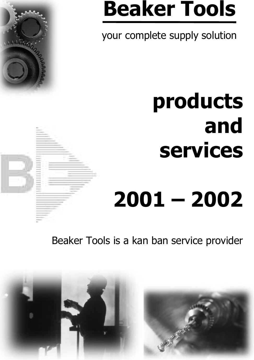# **Beaker Tools**

your complete supply solution

# **products and services**

# **2001 – 2002**

Beaker Tools is a kan ban service provider

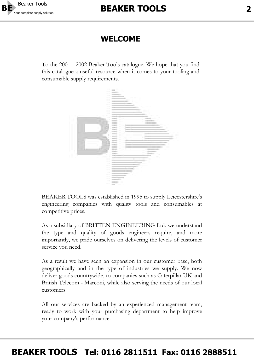

#### **WELCOME**

To the 2001 - 2002 Beaker Tools catalogue. We hope that you find this catalogue a useful resource when it comes to your tooling and consumable supply requirements.



BEAKER TOOLS was established in 1995 to supply Leicestershire's engineering companies with quality tools and consumables at competitive prices.

As a subsidiary of BRITTEN ENGINEERING Ltd. we understand the type and quality of goods engineers require, and more importantly, we pride ourselves on delivering the levels of customer service you need.

As a result we have seen an expansion in our customer base, both geographically and in the type of industries we supply. We now deliver goods countrywide, to companies such as Caterpillar UK and British Telecom - Marconi, while also serving the needs of our local customers.

All our services are backed by an experienced management team, ready to work with your purchasing department to help improve your company's performance.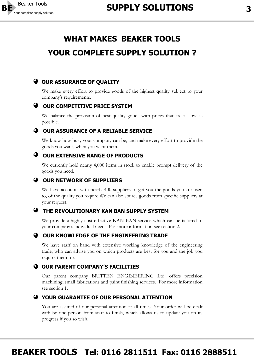

### **WHAT MAKES BEAKER TOOLS YOUR COMPLETE SUPPLY SOLUTION ?**

#### **Q OUR ASSURANCE OF OUALITY**

We make every effort to provide goods of the highest quality subject to your company's requirements.

#### **OUR COMPETITIVE PRICE SYSTEM**

We balance the provision of best quality goods with prices that are as low as possible.

#### **O OUR ASSURANCE OF A RELIABLE SERVICE**

We know how busy your company can be, and make every effort to provide the goods you want, when you want them.

#### **OUR EXTENSIVE RANGE OF PRODUCTS**

We currently hold nearly 4,000 items in stock to enable prompt delivery of the goods you need.

#### **OUR NETWORK OF SUPPLIERS**

We have accounts with nearly 400 suppliers to get you the goods you are used to, of the quality you require.We can also source goods from specific suppliers at your request.

#### **THE REVOLUTIONARY KAN BAN SUPPLY SYSTEM**

We provide a highly cost effective KAN BAN service which can be tailored to your company's individual needs. For more information see section 2.



#### **OUR KNOWLEDGE OF THE ENGINEERING TRADE**

We have staff on hand with extensive working knowledge of the engineering trade, who can advise you on which products are best for you and the job you require them for.

#### **O OUR PARENT COMPANY'S FACILITIES**

Our parent company BRITTEN ENGINEERING Ltd. offers precision machining, small fabrications and paint finishing services. For more information see section 1.



#### **YOUR GUARANTEE OF OUR PERSONAL ATTENTION**

You are assured of our personal attention at all times. Your order will be dealt with by one person from start to finish, which allows us to update you on its progress if you so wish.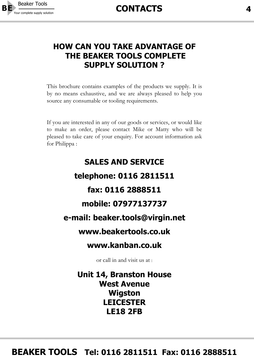

#### **HOW CAN YOU TAKE ADVANTAGE OF THE BEAKER TOOLS COMPLETE SUPPLY SOLUTION ?**

This brochure contains examples of the products we supply. It is by no means exhaustive, and we are always pleased to help you source any consumable or tooling requirements.

If you are interested in any of our goods or services, or would like to make an order, please contact Mike or Matty who will be pleased to take care of your enquiry. For account information ask for Philippa :

# **SALES AND SERVICE telephone: 0116 2811511 fax: 0116 2888511 mobile: 07977137737 e-mail: beaker.tools@virgin.net www.beakertools.co.uk www.kanban.co.uk**

or call in and visit us at :

**Unit 14, Branston House West Avenue Wigston LEICESTER LE18 2FB**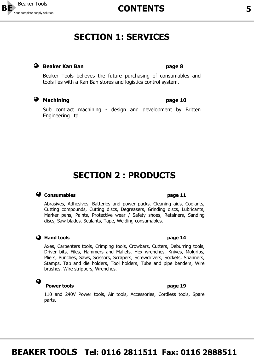

### **SECTION 1: SERVICES**

#### **a** Beaker Kan Ban **page 8 page 8**

Beaker Tools believes the future purchasing of consumables and tools lies with a Kan Ban stores and logistics control system.

#### **Machining 2008 PMachining PMACHINE**

Sub contract machining - design and development by Britten Engineering Ltd.

### **SECTION 2 : PRODUCTS**

#### **Consumables P** Consumables **page 11**

Abrasives, Adhesives, Batteries and power packs, Cleaning aids, Coolants, Cutting compounds, Cutting discs, Degreasers, Grinding discs, Lubricants, Marker pens, Paints, Protective wear / Safety shoes, Retainers, Sanding discs, Saw blades, Sealants, Tape, Welding consumables.

#### **A** Hand tools **Page 14 page 14**

Axes, Carpenters tools, Crimping tools, Crowbars, Cutters, Deburring tools, Driver bits, Files, Hammers and Mallets, Hex wrenches, Knives, Molgrips, Pliers, Punches, Saws, Scissors, Scrapers, Screwdrivers, Sockets, Spanners, Stamps, Tap and die holders, Tool holders, Tube and pipe benders, Wire brushes, Wire strippers, Wrenches.

#### **Power tools page 19**

 $\bullet$ 

110 and 240V Power tools, Air tools, Accessories, Cordless tools, Spare parts.

### **BEAKER TOOLS Tel: 0116 2811511 Fax: 0116 2888511**

Your complete supply solution **CONTENTS 5**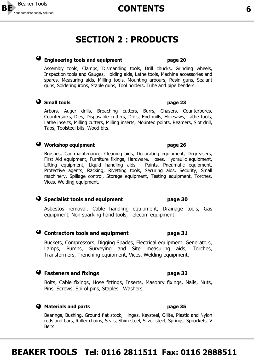### **SECTION 2 : PRODUCTS**

#### **Engineering tools and equipment page 20**

Assembly tools, Clamps, Dismantling tools, Drill chucks, Grinding wheels, Inspection tools and Gauges, Holding aids, Lathe tools, Machine accessories and spares, Measuring aids, Milling tools, Mounting arbours, Resin guns, Sealant guns, Soldering irons, Staple guns, Tool holders, Tube and pipe benders.

#### **Small tools Small tools page 23**

Arbors, Auger drills, Broaching cutters, Burrs, Chasers, Counterbores, Countersinks, Dies, Disposable cutters, Drills, End mills, Holesaws, Lathe tools, Lathe inserts, Milling cutters, Milling inserts, Mounted points, Reamers, Slot drill, Taps, Toolsteel bits, Wood bits.

#### **a** Workshop equipment **page 26**

Brushes, Car maintenance, Cleaning aids, Decorating equipment, Degreasers, First Aid equipment, Furniture fixings, Hardware, Hoses, Hydraulic equipment, Lifting equipment, Liquid handling aids, Paints, Pneumatic equipment, Protective agents, Racking, Rivetting tools, Securing aids, Security, Small machinery, Spillage control, Storage equipment, Testing equipment, Torches, Vices, Welding equipment.

#### **Specialist tools and equipment page 30**

Asbestos removal, Cable handling equipment, Drainage tools, Gas equipment, Non sparking hand tools, Telecom equipment.

#### **Contractors tools and equipment page 31**

Buckets, Compressors, Digging Spades, Electrical equipment, Generators, Lamps, Pumps, Surveying and Site measuring aids, Torches, Transformers, Trenching equipment, Vices, Welding equipment.

#### **Fasteners and fixings page 33**

Bolts, Cable fixings, Hose fittings, Inserts, Masonry fixings, Nails, Nuts, Pins, Screws, Spirol pins, Staples, Washers.

#### **A** Materials and parts **page 35**

Bearings, Bushing, Ground flat stock, Hinges, Keysteel, Oilite, Plastic and Nylon rods and bars, Roller chains, Seals, Shim steel, Silver steel, Springs, Sprockets, V Belts.

### **BEAKER TOOLS Tel: 0116 2811511 Fax: 0116 2888511**

### Your complete supply solution **6**



# **Beaker Tools**<br>Your complete supply solution

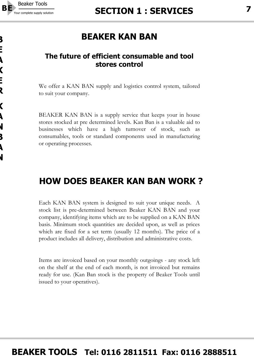

### **BEAKER KAN BAN**

#### **The future of efficient consumable and tool stores control**

We offer a KAN BAN supply and logistics control system, tailored to suit your company.

BEAKER KAN BAN is a supply service that keeps your in house stores stocked at pre determined levels. Kan Ban is a valuable aid to businesses which have a high turnover of stock, such as consumables, tools or standard components used in manufacturing or operating processes.

### **HOW DOES BEAKER KAN BAN WORK ?**

Each KAN BAN system is designed to suit your unique needs. A stock list is pre-determined between Beaker KAN BAN and your company, identifying items which are to be supplied on a KAN BAN basis. Minimum stock quantities are decided upon, as well as prices which are fixed for a set term (usually 12 months). The price of a product includes all delivery, distribution and administrative costs.

Items are invoiced based on your monthly outgoings - any stock left on the shelf at the end of each month, is not invoiced but remains ready for use. (Kan Ban stock is the property of Beaker Tools until issued to your operatives).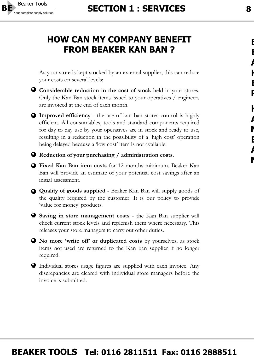

### **HOW CAN MY COMPANY BENEFIT FROM BEAKER KAN BAN ?**

As your store is kept stocked by an external supplier, this can reduce your costs on several levels:





**Improved efficiency** - the use of kan ban stores control is highly efficient. All consumables, tools and standard components required for day to day use by your operatives are in stock and ready to use, resulting in a reduction in the possibility of a 'high cost' operation being delayed because a 'low cost' item is not available.

**Reduction of your purchasing / administration costs**.

- **Fixed Kan Ban item costs** for 12 months minimum. Beaker Kan Ban will provide an estimate of your potential cost savings after an initial assessment.
- **Quality of goods supplied** Beaker Kan Ban will supply goods of the quality required by the customer. It is our policy to provide 'value for money' products.
- **Saving in store management costs** the Kan Ban supplier will check current stock levels and replenish them where necessary. This releases your store managers to carry out other duties.
- **No more 'write off' or duplicated costs** by yourselves, as stock items not used are returned to the Kan ban supplier if no longer required.
- Individual stores usage figures are supplied with each invoice. Any discrepancies are cleared with individual store managers before the invoice is submitted.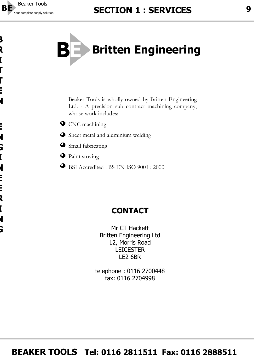

**B**

**R**

**I**

**T**

**T**

**E**

**N**

**E**

**N**

**G**

**I**

**N**

**E**

**E**

**R**

**I**

**N**

**G**



Beaker Tools is wholly owned by Britten Engineering Ltd. - A precision sub contract machining company, whose work includes:

- **O** CNC machining
- Sheet metal and aluminium welding
- Small fabricating
- **P** Paint stoving
- BSI Accredited : BS EN ISO 9001 : 2000

### **CONTACT**

Mr CT Hackett Britten Engineering Ltd 12, Morris Road **LEICESTER** LE2 6BR

telephone : 0116 2700448 fax: 0116 2704998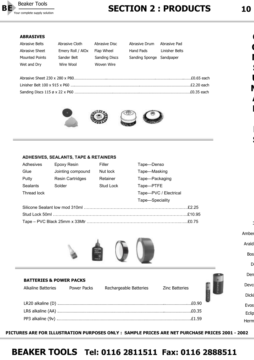

### Your complete supply solution **10**

#### **ABRASIVES**

**COLOR** 

| Abrasive Belts        | Abrasive Cloth    | Abrasive Disc | Abrasive Drum            | Abrasive Pad   |             |
|-----------------------|-------------------|---------------|--------------------------|----------------|-------------|
| Abrasive Sheet        | Emery Roll / AlOx | Flap Wheel    | Hand Pads                | Linisher Belts |             |
| <b>Mounted Points</b> | Sander Belt       | Sanding Discs | Sanding Sponge Sandpaper |                |             |
| Wet and Dry           | Wire Wool         | Woven Wire    |                          |                |             |
|                       |                   |               |                          |                |             |
|                       |                   |               |                          |                | .£0.65 each |



#### **ADHESIVES, SEALANTS, TAPE & RETAINERS**

| Adhesives   | Epoxy Resin             | Filler    | Tape—Denso            |
|-------------|-------------------------|-----------|-----------------------|
| Glue        | Jointing compound       | Nut lock  | Tape-Masking          |
| Putty       | <b>Resin Cartridges</b> | Retainer  | Tape-Packaging        |
| Sealants    | Solder                  | Stud Lock | Tape-PTFE             |
| Thread lock |                         |           | Tape-PVC / Electrical |
|             |                         |           | Tape-Speciality       |
|             |                         |           |                       |
|             |                         |           | £10.95                |
|             |                         |           |                       |



| <b>BATTERIES &amp; POWER PACKS</b> |                        |                       |  |
|------------------------------------|------------------------|-----------------------|--|
| Alkaline Batteries Power Packs     | Rechargeable Batteries | <b>Zinc Batteries</b> |  |
|                                    |                        | .£0.90                |  |
|                                    |                        |                       |  |
|                                    |                        |                       |  |

**PICTURES ARE FOR ILLUSTRATION PURPOSES ONLY : SAMPLE PRICES ARE NET PURCHASE PRICES 2001 - 2002**

### **BEAKER TOOLS Tel: 0116 2811511 Fax: 0116 2888511**

<sup>c</sup>

**O**

**N**

**S**

**U**

**M**

**A**

**B**

**E**

**S**

Amber

Arald

Bos

Deb

Den

Devc

Dicki

Evos Eclip Herm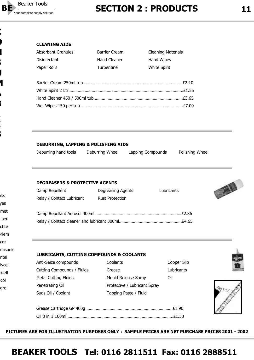

**C**

**O**

**N**

**S**

**U**

**A**

**B**

**L**

**E**

**S**

**M**

# Your complete supply solution **11**

#### **CLEANING AIDS**

| <b>Absorbant Granules</b> | <b>Barrier Cream</b> | <b>Cleaning Materials</b> |
|---------------------------|----------------------|---------------------------|
| Disinfectant              | Hand Cleaner         | Hand Wipes                |
| Paper Rolls               | Turpentine           | <b>White Spirit</b>       |
|                           |                      | £2.10                     |
| 111111 22222 23222        |                      | <b>CA CC</b>              |

| <b>DEBURRING, LAPPING &amp; POLISHING AIDS</b> |                 |                   |                 |
|------------------------------------------------|-----------------|-------------------|-----------------|
| Deburring hand tools                           | Deburring Wheel | Lapping Compounds | Polishing Wheel |

#### **DEGREASERS & PROTECTIVE AGENTS**

| Damp Repellent            | Degreasing Agents      | Lubricants |
|---------------------------|------------------------|------------|
| Relay / Contact Lubricant | <b>Rust Protection</b> |            |
|                           |                        |            |
|                           |                        | F2 86      |
|                           |                        | £4.65      |

#### **LUBRICANTS, CUTTING COMPOUNDS & COOLANTS**

| ntel   | LUDNIUAN 19, CU I           |
|--------|-----------------------------|
| lycell | Anti-Seize compound         |
| pcell  | <b>Cutting Compounds</b>    |
| col    | <b>Metal Cutting Fluids</b> |
| aro    | Penetrating Oil             |
|        | Suds Oil / Coolant          |

olts yes emet uber ctite orlem cer

nasonic

| Anti-Seize compounds        | Coolants                     | Copper Slip |
|-----------------------------|------------------------------|-------------|
| Cutting Compounds / Fluids  | Grease                       | Lubricants  |
| <b>Metal Cutting Fluids</b> | Mould Release Spray          | Oil         |
| Penetrating Oil             | Protective / Lubricant Spray |             |
| Suds Oil / Coolant          | Tapping Paste / Fluid        |             |



A



**PICTURES ARE FOR ILLUSTRATION PURPOSES ONLY : SAMPLE PRICES ARE NET PURCHASE PRICES 2001 - 2002**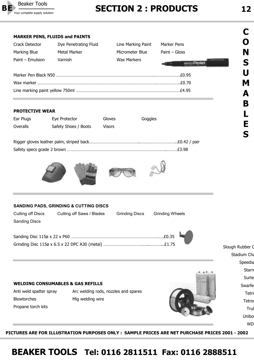

# Your complete supply solution **12**<br>Your complete supply solution **12**

W<sub>D</sub>



**PICTURES ARE FOR ILLUSTRATION PURPOSES ONLY : SAMPLE PRICES ARE NET PURCHASE PRICES 2001 - 2002**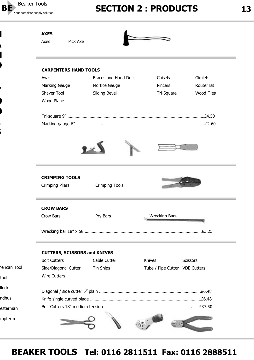

**H**

**A**

**D**

**T**

**O**

**O**

**L**

**S**

### Your complete supply solution **13**

|              | <b>AXES</b>                         |                        |                                |                   |
|--------------|-------------------------------------|------------------------|--------------------------------|-------------------|
|              | Pick Axe<br>Axes                    |                        |                                |                   |
|              |                                     |                        |                                |                   |
|              |                                     |                        |                                |                   |
|              | <b>CARPENTERS HAND TOOLS</b>        |                        |                                |                   |
|              | Awls                                | Braces and Hand Drills | Chisels                        | Gimlets           |
|              | Marking Gauge                       | Mortice Gauge          | Pincers                        | Router Bit        |
|              | Shaver Tool                         | Sliding Bevel          | Tri-Square                     | <b>Wood Files</b> |
|              | Wood Plane                          |                        |                                |                   |
|              |                                     |                        |                                |                   |
|              |                                     |                        |                                |                   |
|              |                                     |                        |                                |                   |
|              |                                     |                        |                                |                   |
|              |                                     |                        |                                |                   |
|              |                                     |                        |                                |                   |
|              | <b>CRIMPING TOOLS</b>               |                        |                                |                   |
|              | <b>Crimping Pliers</b>              | <b>Crimping Tools</b>  |                                |                   |
|              | <b>CROW BARS</b>                    |                        |                                |                   |
|              | Crow Bars                           | Pry Bars               | <b>Wrecking Bars</b>           |                   |
|              |                                     |                        |                                |                   |
|              |                                     |                        |                                |                   |
|              | <b>CUTTERS, SCISSORS and KNIVES</b> |                        |                                |                   |
|              | <b>Bolt Cutters</b>                 | Cable Cutter           | Knives                         | Scissors          |
| nerican Tool | Side/Diagonal Cutter                | <b>Tin Snips</b>       | Tube / Pipe Cutter VDE Cutters |                   |
|              | <b>Wire Cutters</b>                 |                        |                                |                   |
|              |                                     |                        |                                |                   |
|              |                                     |                        |                                |                   |
|              |                                     |                        |                                |                   |
|              |                                     |                        |                                |                   |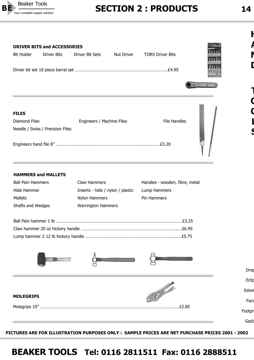

### **Your complete supply solution**<br>Your complete supply solution **14**

**H**

**A**

**N**

**D**

**T**

**O**

**O**

**L**

**S**

Drap



#### **HAMMERS and MALLETS**

| <b>Ball Pein Hammers</b> | Claw Hammers                     | Handles - wooden, fibre, metal |
|--------------------------|----------------------------------|--------------------------------|
| Hide Hammer              | Inserts - hide / nylon / plastic | Lump Hammers                   |
| Mallets                  | Nylon Hammers                    | Pin Hammers                    |
| Shafts and Wedges        | <b>Warrington Hammers</b>        |                                |



Eclip F Estwi **MOLEGRIPS** Faco Molegrips 10" …………………………………………………………….………………………………………..…£2.85 Footpr Gedo

**PICTURES ARE FOR ILLUSTRATION PURPOSES ONLY : SAMPLE PRICES ARE NET PURCHASE PRICES 2001 - 2002**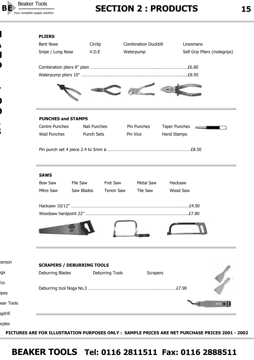

**H**

**A**

**D**

**T**

**O**

**O**

**L**

**S**

**N**

berson

ega

fco

ipex

agdrill

arples

near Tools

## Your complete supply solution **15**

#### **PLIERS**

| <b>Bent Nose</b><br>Snipe / Long Nose                 | Circlip<br>V.D.E       |                        | <b>Combination Duckbill</b><br>Waterpump | Linesmans<br>Self Grip Pliers (molegrips) |  |
|-------------------------------------------------------|------------------------|------------------------|------------------------------------------|-------------------------------------------|--|
|                                                       |                        |                        |                                          |                                           |  |
| <b>PUNCHES and STAMPS</b>                             |                        |                        |                                          |                                           |  |
| Centre Punches                                        | Nail Punches           |                        | Pin Punches                              | <b>Taper Punches</b>                      |  |
| Wad Punches                                           | <b>Punch Sets</b>      |                        | Pin Vice                                 | Hand Stamps                               |  |
|                                                       |                        |                        |                                          |                                           |  |
| <b>SAWS</b>                                           |                        |                        |                                          |                                           |  |
| <b>Bow Saw</b><br>Mitre Saw                           | File Saw<br>Saw Blades | Fret Saw<br>Tenon Saw  | Metal Saw<br>Tile Saw                    | Hacksaw<br>Wood Saw                       |  |
|                                                       |                        |                        |                                          |                                           |  |
|                                                       |                        |                        |                                          |                                           |  |
|                                                       |                        |                        |                                          |                                           |  |
|                                                       |                        |                        |                                          |                                           |  |
| <b>SCRAPERS / DEBURRING TOOLS</b><br>Deburring Blades |                        | <b>Deburring Tools</b> | <b>Scrapers</b>                          |                                           |  |
|                                                       |                        |                        |                                          |                                           |  |
|                                                       |                        |                        |                                          |                                           |  |

**PICTURES ARE FOR ILLUSTRATION PURPOSES ONLY : SAMPLE PRICES ARE NET PURCHASE PRICES 2001 - 2002**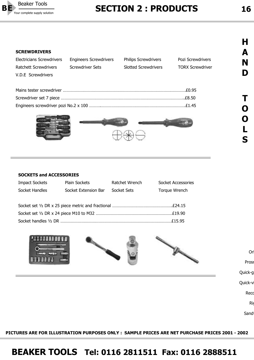

### Your complete supply solution **16**

#### **SCREWDRIVERS**

| <b>Electricians Screwdrivers</b> | <b>Engineers Screwdrivers</b> | <b>Philips Screwdrivers</b> | Pozi Screwdrivers       |
|----------------------------------|-------------------------------|-----------------------------|-------------------------|
| Ratchett Screwdrivers            | Screwdriver Sets              | <b>Slotted Screwdrivers</b> | <b>TORX Screwdriver</b> |
| V.D.E Screwdrivers               |                               |                             |                         |
|                                  |                               |                             |                         |
|                                  |                               |                             |                         |
|                                  |                               |                             |                         |

Engineers screwdriver pozi No.2 x 100 ……….……………………………………………………………….£1.45



#### **SOCKETS and ACCESSORIES**

| <b>Impact Sockets</b> | Plain Sockets        | Ratchet Wrench | <b>Socket Accessories</b> |
|-----------------------|----------------------|----------------|---------------------------|
| Socket Handles        | Socket Extension Bar | Socket Sets    | Torque Wrench             |
|                       |                      |                |                           |
|                       |                      |                |                           |
|                       |                      |                |                           |
|                       |                      |                |                           |

Socket handles ½ DR ……………………………………………………………………………………£15.95



Rig

Sand

**PICTURES ARE FOR ILLUSTRATION PURPOSES ONLY : SAMPLE PRICES ARE NET PURCHASE PRICES 2001 - 2002**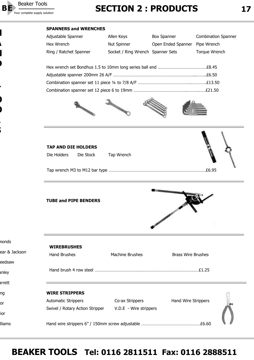

**H**

**A**

**N**

**D**

**T**

**O**

**O**

**L**

**S**

## Your complete supply solution **17**<br>Your complete supply solution **17**

#### **SPANNERS and WRENCHES**

| Adjustable Spanner     | Allen Keys                        | <b>Box Spanner</b>             | <b>Combination Spanner</b> |
|------------------------|-----------------------------------|--------------------------------|----------------------------|
| Hex Wrench             | Nut Spinner                       | Open Ended Spanner Pipe Wrench |                            |
| Ring / Ratchet Spanner | Socket / Ring Wrench Spanner Sets |                                | Torque Wrench              |









#### **TUBE and PIPE BENDERS**

| nonds         |                                 |                        |                           |
|---------------|---------------------------------|------------------------|---------------------------|
|               | <b>WIREBRUSHES</b>              |                        |                           |
| ear & Jackson | <b>Hand Brushes</b>             | <b>Machine Brushes</b> | <b>Brass Wire Brushes</b> |
| eedsaw        |                                 |                        |                           |
| anley         |                                 |                        |                           |
| arrett        |                                 |                        |                           |
| ng            | <b>WIRE STRIPPERS</b>           |                        |                           |
| or            | <b>Automatic Strippers</b>      | Co-ax Strippers        | Hand Wire Strippers       |
|               | Swivel / Rotary Action Stripper | V.D.E - Wire strippers |                           |
| ior           |                                 |                        |                           |
| <b>Iliams</b> |                                 |                        |                           |

![](_page_16_Picture_13.jpeg)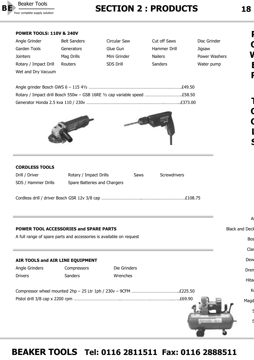![](_page_17_Picture_0.jpeg)

### Your complete supply solution **18**

| Angle Grinder         | <b>Belt Sanders</b> | Circular Saw     | Cut off Saws   | Disc Grinder  |
|-----------------------|---------------------|------------------|----------------|---------------|
| Garden Tools          | Generators          | Glue Gun         | Hammer Drill   | Jigsaw        |
| <b>Jointers</b>       | Mag Drills          | Mini Grinder     | <b>Nailers</b> | Power Washers |
| Rotary / Impact Drill | Routers             | <b>SDS Drill</b> | Sanders        | Water pump    |
| Wet and Dry Vacuum    |                     |                  |                |               |
|                       |                     |                  |                |               |
|                       |                     |                  |                |               |

![](_page_17_Picture_5.jpeg)

#### **CORDLESS TOOLS**

| Drill / Driver      | Rotary / Impact Drills       | <b>Saws</b> | Screwdrivers |
|---------------------|------------------------------|-------------|--------------|
| SDS / Hammer Drills | Spare Batteries and Chargers |             |              |
|                     |                              |             |              |
|                     |                              |             |              |

#### **POWER TOOL ACCESSORIES and SPARE PARTS**

A full range of spare parts and accessories is available on request

#### **AIR TOOLS and AIR LINE EQUIPMENT** Angle Grinders Compressors Die Grinders Drivers Sanders Wrenches Compressor wheel mounted 2hp – 25 Ltr 1ph / 230v – 9CFM …………………………………..£225.50 Pistol drill 3/8 cap x 2200 rpm …………………………………..…………………….………………..…..£69.90 Bos Clar Dew Dren Hita  $\mathsf{K}$ Magd S S

### **BEAKER TOOLS Tel: 0116 2811511 Fax: 0116 2888511**

**P**

**O W E R T O O**

**L**

**S**

AEG

**Black and Deck**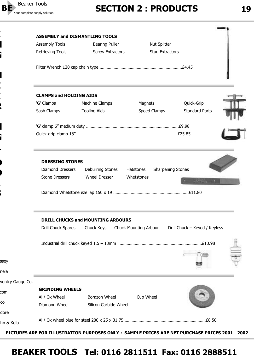![](_page_18_Picture_0.jpeg)

**E**

**E**

**E**

**R**

**G**

**T**

**O**

**O**

**L**

**S**

**G**

|                  | <b>ASSEMBLY and DISMANTLING TOOLS</b>             |                                          |                                        |                               |
|------------------|---------------------------------------------------|------------------------------------------|----------------------------------------|-------------------------------|
|                  | Assembly Tools                                    | <b>Bearing Puller</b>                    | Nut Splitter                           |                               |
|                  | <b>Retrieving Tools</b>                           | <b>Screw Extractors</b>                  | <b>Stud Extractors</b>                 |                               |
|                  |                                                   |                                          |                                        |                               |
|                  | <b>CLAMPS and HOLDING AIDS</b>                    |                                          |                                        |                               |
|                  | 'G' Clamps                                        | Machine Clamps                           | Magnets                                | Quick-Grip                    |
|                  | Sash Clamps                                       | <b>Tooling Aids</b>                      | Speed Clamps                           | <b>Standard Parts</b>         |
|                  |                                                   |                                          |                                        |                               |
|                  |                                                   |                                          |                                        |                               |
|                  | <b>DRESSING STONES</b><br><b>Diamond Dressers</b> | Deburring Stones                         | <b>Sharpening Stones</b><br>Flatstones |                               |
|                  | <b>Stone Dressers</b>                             | <b>Wheel Dresser</b>                     | Whetstones                             |                               |
|                  |                                                   |                                          |                                        |                               |
|                  |                                                   | <b>DRILL CHUCKS and MOUNTING ARBOURS</b> |                                        |                               |
|                  | Drill Chuck Spares                                | Chuck Keys                               | Chuck Mounting Arbour                  | Drill Chuck - Keyed / Keyless |
|                  |                                                   |                                          |                                        |                               |
|                  |                                                   |                                          |                                        |                               |
|                  |                                                   |                                          |                                        |                               |
| ventry Gauge Co. |                                                   |                                          |                                        |                               |
|                  | <b>GRINDING WHEELS</b>                            |                                          |                                        |                               |
|                  | Al / Ox Wheel                                     | Borazon Wheel                            | Cup Wheel                              |                               |
|                  | Diamond Wheel                                     | Silicon Carbide Wheel                    |                                        |                               |
|                  |                                                   |                                          |                                        |                               |
|                  |                                                   |                                          |                                        |                               |

**PICTURES ARE FOR ILLUSTRATION PURPOSES ONLY : SAMPLE PRICES ARE NET PURCHASE PRICES 2001 - 2002**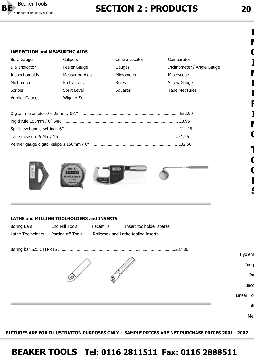![](_page_19_Picture_0.jpeg)

### Your complete supply solution **2 20**

#### **INSPECTION and MEASURING AIDS**

| <b>Bore Gauge</b> | Calipers              | Centre Locator | Comparator                 |
|-------------------|-----------------------|----------------|----------------------------|
| Dial Indicator    | Feeler Gauge          | Gauges         | Inclinometer / Angle Gauge |
| Inspection aids   | <b>Measuring Aids</b> | Micrometer     | Microscope                 |
| Multimeter        | Protractors           | <b>Rules</b>   | Screw Gauge                |
| Scriber           | Spirit Level          | Squares        | <b>Tape Measures</b>       |
| Vernier Gauges    | Wiggler Set           |                |                            |
|                   |                       |                |                            |
|                   |                       |                |                            |
|                   |                       |                |                            |
|                   |                       |                |                            |
|                   |                       |                |                            |
|                   |                       |                |                            |

![](_page_19_Picture_4.jpeg)

#### **LATHE and MILLING TOOLHOLDERS and INSERTS**

| Boring Bars       | End Mill Tools    | <b>Facemills</b> | Insert toolholder spares            |
|-------------------|-------------------|------------------|-------------------------------------|
| Lathe Toolholders | Parting off Tools |                  | Rollerbox and Lathe tooling inserts |

![](_page_19_Picture_7.jpeg)

**PICTURES ARE FOR ILLUSTRATION PURPOSES ONLY : SAMPLE PRICES ARE NET PURCHASE PRICES 2001 - 2002**

### **BEAKER TOOLS Tel: 0116 2811511 Fax: 0116 2888511**

**E**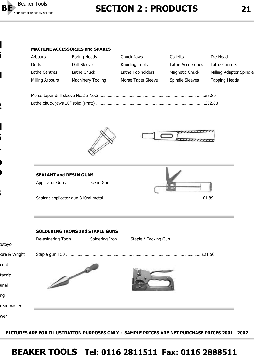![](_page_20_Picture_0.jpeg)

**E**

**N**

**G**

**N**

**E**

**E**

**R**

**N**

**G**

**T**

**O**

**O**

**L**

**S**

## Your complete supply solution **2 21 SECTION 2 : PRODUCTS** 21

#### **MACHINE ACCESSORIES and SPARES**

| <b>Arbours</b>  | Boring Heads      | Chuck Jaws            | Colletts          | Die Head                |
|-----------------|-------------------|-----------------------|-------------------|-------------------------|
| Drifts          | Drill Sleeve      | <b>Knurling Tools</b> | Lathe Accessories | Lathe Carriers          |
| Lathe Centres   | Lathe Chuck       | Lathe Toolholders     | Magnetic Chuck    | Milling Adaptor Spindle |
| Milling Arbours | Machinery Tooling | Morse Taper Sleeve    | Spindle Sleeves   | <b>Tapping Heads</b>    |
|                 |                   |                       |                   |                         |
|                 |                   |                       |                   |                         |

![](_page_20_Picture_5.jpeg)

![](_page_20_Picture_6.jpeg)

|                        | <b>SEALANT and RESIN GUNS</b> |  |
|------------------------|-------------------------------|--|
| <b>Applicator Guns</b> | <b>Resin Guns</b>             |  |
|                        |                               |  |

|              | <b>SOLDERING IRONS and STAPLE GUNS</b> |                |                      |        |
|--------------|----------------------------------------|----------------|----------------------|--------|
| tutoyo       | De-soldering Tools                     | Soldering Iron | Staple / Tacking Gun |        |
| ore & Wright |                                        |                |                      | £21.50 |
| cord         |                                        |                |                      |        |
| tagrip       |                                        |                |                      |        |
| einel        | D                                      |                |                      |        |
| ng           |                                        |                |                      |        |
| readmaster   |                                        |                |                      |        |
| wer          |                                        |                |                      |        |

**PICTURES ARE FOR ILLUSTRATION PURPOSES ONLY : SAMPLE PRICES ARE NET PURCHASE PRICES 2001 - 2002**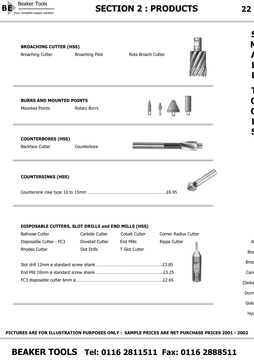![](_page_21_Picture_0.jpeg)

### Your complete supply solution **2 22 SECTION 2 : PRODUCTS** 22

**S**

**M**

**A**

**L**

**L**

**T**

**O**

**O**

**L**

**S**

![](_page_21_Picture_3.jpeg)

#### **DISPOSABLE CUTTERS, SLOT DRILLS and END MILLS (HSS)**

|             | <b>Corner Radius Cutter</b> | <b>Cobalt Cutter</b> | Carbide Cutter  | <b>Ballnose Cutter</b>  |
|-------------|-----------------------------|----------------------|-----------------|-------------------------|
| A           | Rippa Cutter                | End Mills            | Dovetail Cutter | Disposable Cutter - FC3 |
| <b>Bos</b>  |                             | <b>T-Slot Cutter</b> | Slot Drills     | Rhodes Cutter           |
| <b>Broo</b> |                             |                      |                 |                         |
| Can         |                             |                      |                 |                         |
| Clarks      |                             |                      |                 |                         |
| Dorm        |                             |                      |                 |                         |

Golia Hyd

**PICTURES ARE FOR ILLUSTRATION PURPOSES ONLY : SAMPLE PRICES ARE NET PURCHASE PRICES 2001 - 2002**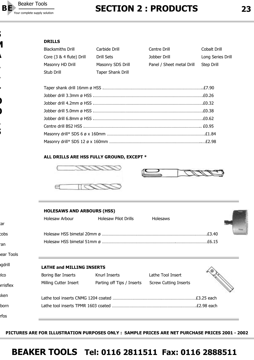![](_page_22_Picture_0.jpeg)

**S**

**A**

**L**

**L**

**T**

**O**

**O**

**L**

**S**

**M**

rfos

## Your complete supply solution **2 23**

#### **DRILLS**

| <b>Blacksmiths Drill</b> | Carbide Drill            | Centre Drill              | Cobalt Drill      |
|--------------------------|--------------------------|---------------------------|-------------------|
| Core (3 & 4 flute) Drill | Drill Sets               | Jobber Drill              | Long Series Drill |
| Masonry HD Drill         | Masonry SDS Drill        | Panel / Sheet metal Drill | Step Drill        |
| Stub Drill               | <b>Taper Shank Drill</b> |                           |                   |

#### **ALL DRILLS ARE HSS FULLY GROUND, EXCEPT \***

![](_page_22_Picture_6.jpeg)

![](_page_22_Picture_7.jpeg)

![](_page_22_Picture_8.jpeg)

![](_page_22_Picture_9.jpeg)

| tar       |                                  |                            |                              |  |
|-----------|----------------------------------|----------------------------|------------------------------|--|
| cobs      |                                  |                            |                              |  |
| ran       |                                  |                            |                              |  |
| ear Tools |                                  |                            |                              |  |
| gdrill    | <b>LATHE and MILLING INSERTS</b> |                            |                              |  |
| llco      | Boring Bar Inserts               | Knurl Inserts              | Lathe Tool Insert            |  |
| rrisflex  | Milling Cutter Insert            | Parting off Tips / Inserts | <b>Screw Cutting Inserts</b> |  |
| kken      |                                  |                            |                              |  |
| lborn     |                                  |                            |                              |  |
|           |                                  |                            |                              |  |

**PICTURES ARE FOR ILLUSTRATION PURPOSES ONLY : SAMPLE PRICES ARE NET PURCHASE PRICES 2001 - 2002**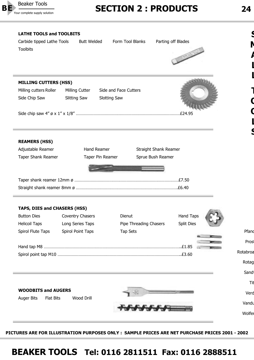![](_page_23_Picture_0.jpeg)

**LATHE TOOLS and TOOLBITS**

### Your complete supply solution **2 24 SECTION 2 : PRODUCTS** 24

Carbide tipped Lathe Tools Butt Welded Form Tool Blanks Parting off Blades

![](_page_23_Picture_3.jpeg)

| <b>MILLING CUTTERS (HSS)</b>              |                                       |                                                                |                   |
|-------------------------------------------|---------------------------------------|----------------------------------------------------------------|-------------------|
| Milling cutters Roller                    | Milling Cutter                        | Side and Face Cutters                                          |                   |
| Side Chip Saw                             | <b>Slitting Saw</b>                   | <b>Slotting Saw</b>                                            |                   |
|                                           |                                       |                                                                |                   |
| <b>REAMERS (HSS)</b>                      |                                       |                                                                |                   |
| Adjustable Reamer<br>Taper Shank Reamer   | <b>Hand Reamer</b>                    | Straight Shank Reamer<br>Sprue Bush Reamer<br>Taper Pin Reamer |                   |
|                                           |                                       |                                                                |                   |
|                                           |                                       |                                                                |                   |
|                                           |                                       |                                                                |                   |
| TAPS, DIES and CHASERS (HSS)              |                                       |                                                                |                   |
| <b>Button Dies</b>                        | Coventry Chasers                      | Dienut                                                         | <b>Hand Taps</b>  |
| <b>Helicoil Taps</b><br>Spirol Flute Taps | Long Series Taps<br>Spirol Point Taps | Pipe Threading Chasers<br>Tap Sets                             | <b>Split Dies</b> |
|                                           |                                       |                                                                |                   |
|                                           |                                       |                                                                |                   |
|                                           |                                       |                                                                |                   |
|                                           |                                       |                                                                |                   |
|                                           |                                       |                                                                |                   |
|                                           |                                       |                                                                |                   |
| <b>WOODBITS and AUGERS</b>                |                                       |                                                                |                   |
| <b>Auger Bits</b><br>Flat Bits            | Wood Drill                            |                                                                |                   |

**PICTURES ARE FOR ILLUSTRATION PURPOSES ONLY : SAMPLE PRICES ARE NET PURCHASE PRICES 2001 - 2002**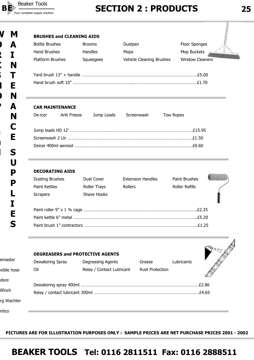![](_page_24_Picture_0.jpeg)

# Your complete supply solution **2 25**

**K**

**S**

**H**

**O**

**P**

**a**

**n**

**d**

| <b>Bottle Brushes</b>   | <b>Brooms</b>  | Dustpan                  | Floor Sponges          |
|-------------------------|----------------|--------------------------|------------------------|
| <b>Hand Brushes</b>     | <b>Handles</b> | <b>Mops</b>              | Mop Buckets            |
| <b>Platform Brushes</b> | Squeegees      | Vehicle Cleaning Brushes | <b>Window Cleaners</b> |
|                         |                |                          | .55.00                 |
|                         |                |                          | £1.70                  |
|                         |                |                          |                        |

#### **CAR MAINTENANCE**

|  | De-icer Anti Freeze Jump Leads Screenwash Tow Ropes |  |
|--|-----------------------------------------------------|--|
|  |                                                     |  |
|  |                                                     |  |
|  |                                                     |  |
|  |                                                     |  |

#### **DECORATING AIDS**

| <b>Dusting Brushes</b>     | Dust Cover          | <b>Extension Handles</b> | <b>Paint Brushes</b>  |  |
|----------------------------|---------------------|--------------------------|-----------------------|--|
| Paint Kettles              | <b>Roller Trays</b> | <b>Rollers</b>           | <b>Roller Refills</b> |  |
| <b>Scrapers</b>            | Shave Hooks         |                          |                       |  |
|                            |                     |                          |                       |  |
|                            |                     |                          | .F2.25                |  |
|                            |                     |                          | .£5.20                |  |
| Paint brush 1" contractors |                     |                          |                       |  |

|                |                  | <b>DEGREASERS and PROTECTIVE AGENTS</b> |                        |            |        |
|----------------|------------------|-----------------------------------------|------------------------|------------|--------|
| emaster        | Dewatering Spray | Degreasing Agents                       | Grease                 | Lubricants |        |
| exible hose    | Oil              | Relay / Contact Lubricant               | <b>Rust Protection</b> |            |        |
| dore           |                  |                                         |                        |            | .£2.86 |
| <b>Ilfinch</b> |                  |                                         |                        |            |        |
| rg Wachter     |                  |                                         |                        |            |        |
| ntico          |                  |                                         |                        |            |        |

**PICTURES ARE FOR ILLUSTRATION PURPOSES ONLY : SAMPLE PRICES ARE NET PURCHASE PRICES 2001 - 2002**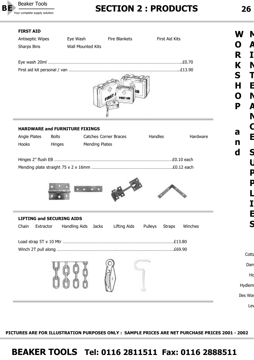![](_page_25_Picture_0.jpeg)

### Your complete supply solution **2 26**

#### **FIRST AID**  Antiseptic Wipes Eye Wash Fire Blankets First Aid Kits Sharps Bins Wall Mounted Kits Eye wash 20ml ……………………………………………………………………………………………………..£0.70 First aid kit personal / van …………………………………………………………………………………...£13.90 **HARDWARE and FURNITURE FIXINGS** Angle Plates Bolts Catches Corner Braces Handles Hardware Hooks Hinges Mending Plates Hinges 2" flush EB …………………………………………………………………………………………£0.10 each Mending plate straight 75 x 2 x 16mm …………………………………………………………….£0.12 each **LIFTING and SECURING AIDS** Chain Extractor Handling Aids Jacks Lifting Aids Pulleys Straps Winches Load strap 5T x 10 Mtr ……………………………………………………………………………………£13.80 Winch 2T pull along …………………………………………….………………………………………….£69.90 Cotta Dam Ho Hydlem Iles Was Ley **W O R K S H O P a n d M A I N T E N A N C E S U P P L I E S**

**PICTURES ARE FOR ILLUSTRATION PURPOSES ONLY : SAMPLE PRICES ARE NET PURCHASE PRICES 2001 - 2002**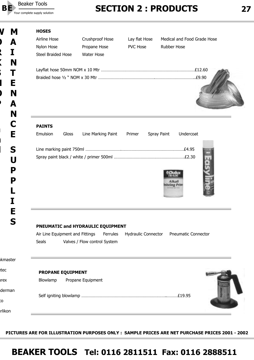![](_page_26_Picture_0.jpeg)

# Your complete supply solution **2 27 SECTION 2 : PRODUCTS** 27

### **W M A I N T E N A N C E S U P P L I E S**

**O**

**R**

**K**

**S**

**H**

**O**

**P**

**a**

**n**

**d**

| <b>HOSES</b>  |                           |                    |                 |                               |                             |  |
|---------------|---------------------------|--------------------|-----------------|-------------------------------|-----------------------------|--|
| Airline Hose  |                           | Crushproof Hose    | Lay flat Hose   |                               | Medical and Food Grade Hose |  |
| Nylon Hose    |                           | Propane Hose       | <b>PVC Hose</b> | <b>Rubber Hose</b>            |                             |  |
|               | <b>Steel Braided Hose</b> | <b>Water Hose</b>  |                 |                               |                             |  |
|               |                           |                    |                 |                               | £9.90                       |  |
| <b>PAINTS</b> |                           |                    |                 |                               |                             |  |
| Emulsion      | Gloss                     | Line Marking Paint | Primer          | Spray Paint                   | Undercoat                   |  |
|               |                           |                    |                 | <b>Alkall</b><br>sistina Prin | .E2.30                      |  |

#### **PNEUMATIC and HYDRAULIC EQUIPMENT**

Air Line Equipment and Fittings Ferrules Hydraulic Connector Pneumatic Connector Seals **Valves / Flow control System** 

| <b>ikmaster</b> |                               |  |
|-----------------|-------------------------------|--|
| tec             | <b>PROPANE EQUIPMENT</b>      |  |
| ırex            | Propane Equipment<br>Blowlamp |  |
| derman          |                               |  |
| ĽО              |                               |  |
| trlikon         |                               |  |

**PICTURES ARE FOR ILLUSTRATION PURPOSES ONLY : SAMPLE PRICES ARE NET PURCHASE PRICES 2001 - 2002**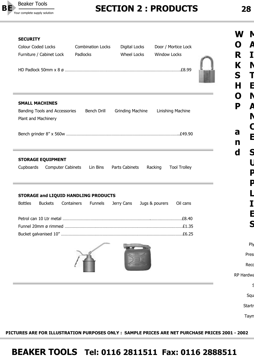![](_page_27_Picture_0.jpeg)

## Your complete supply solution **2 28**

| <b>SECURITY</b><br><b>Colour Coded Locks</b><br>Furniture / Cabinet Lock      | <b>Combination Locks</b><br>Padlocks | Digital Locks<br><b>Wheel Locks</b> | Door / Mortice Lock<br><b>Window Locks</b> | I J<br>R<br>K |
|-------------------------------------------------------------------------------|--------------------------------------|-------------------------------------|--------------------------------------------|---------------|
|                                                                               |                                      |                                     |                                            | S<br>н        |
| <b>SMALL MACHINES</b><br>Banding Tools and Accessories<br>Plant and Machinery | Bench Drill                          | <b>Grinding Machine</b>             | Linishing Machine                          | N<br>P        |
|                                                                               |                                      |                                     |                                            | a<br>n        |
| Cupboards<br><b>Computer Cabinets</b><br>STORAGE and LIQUID HANDLING PRODUCTS | Lin Bins                             | Parts Cabinets                      | <b>Tool Trolley</b><br>Racking             |               |
| <b>Bottles</b><br><b>Buckets</b>                                              | Containers<br><b>Funnels</b>         | Jerry Cans                          | Jugs & pourers<br>Oil cans                 |               |
|                                                                               |                                      |                                     |                                            |               |
|                                                                               |                                      |                                     |                                            |               |
|                                                                               |                                      |                                     |                                            |               |
|                                                                               |                                      |                                     |                                            |               |
|                                                                               |                                      |                                     |                                            | Pres<br>Recd  |
|                                                                               |                                      |                                     |                                            | RP Hardwa     |
|                                                                               |                                      |                                     |                                            |               |
|                                                                               |                                      |                                     |                                            | Squ           |
|                                                                               |                                      |                                     |                                            | Startr        |
|                                                                               |                                      |                                     |                                            | Taym          |
|                                                                               |                                      |                                     |                                            |               |

**PICTURES ARE FOR ILLUSTRATION PURPOSES ONLY : SAMPLE PRICES ARE NET PURCHASE PRICES 2001 - 2002**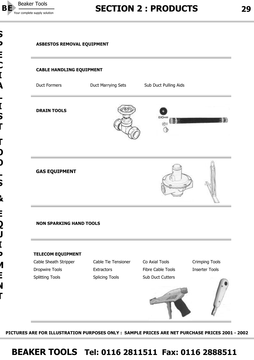![](_page_28_Picture_0.jpeg)

#### **ASBESTOS REMOVAL EQUIPMENT**

#### **CABLE HANDLING EQUIPMENT**

Duct Formers **Duct Marrying Sets** Sub Duct Pulling Aids

**DRAIN TOOLS**

![](_page_28_Picture_7.jpeg)

![](_page_28_Picture_8.jpeg)

#### **GAS EQUIPMENT**

![](_page_28_Picture_10.jpeg)

#### **NON SPARKING HAND TOOLS**

#### **TELECOM EQUIPMENT**

Cable Sheath Stripper Cable Tie Tensioner Co Axial Tools Crimping Tools Dropwire Tools **Extractors** Extractors Fibre Cable Tools **Inserter Tools** Splitting Tools Splicing Tools Sub Duct Cutters

![](_page_28_Picture_17.jpeg)

**PICTURES ARE FOR ILLUSTRATION PURPOSES ONLY : SAMPLE PRICES ARE NET PURCHASE PRICES 2001 - 2002**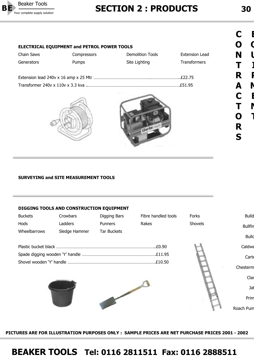![](_page_29_Picture_0.jpeg)

### Your complete supply solution **30**

| C |                |
|---|----------------|
| Õ |                |
| N | l              |
| Τ |                |
| R | I              |
| А | $\blacksquare$ |
| C |                |
| Τ |                |
| Õ |                |
| R |                |
| S |                |

#### **ELECTRICAL EQUIPMENT and PETROL POWER TOOLS**

| Chain Saws | Compressors  | Demolition Tools | Extension Lead      |
|------------|--------------|------------------|---------------------|
| Generators | <b>Pumps</b> | Site Lighting    | <b>Transformers</b> |
|            |              |                  |                     |
|            |              |                  |                     |
|            |              |                  |                     |
|            |              |                  |                     |

![](_page_29_Picture_6.jpeg)

![](_page_29_Picture_7.jpeg)

#### **SURVEYING and SITE MEASUREMENT TOOLS**

#### **DIGGING TOOLS AND CONSTRUCTION EQUIPMENT**

| <b>Buckets</b> | Crowbars      | Digging Bars   | Fibre handled tools | Forks   | <b>Bulld</b>   |
|----------------|---------------|----------------|---------------------|---------|----------------|
| Hods           | Ladders       | <b>Punners</b> | Rakes               | Shovels | <b>Bullfin</b> |
| Wheelbarrows   | Sledge Hammer | Tar Buckets    |                     |         | <b>Bullo</b>   |
|                |               |                |                     |         |                |
|                |               |                | £0.90               |         | Caldwe         |
|                |               |                |                     |         | Carte          |
|                |               |                |                     |         | Chesterm       |
|                |               |                |                     |         | Clar           |
|                |               |                |                     |         | Jaf            |
|                |               |                |                     |         | Prim           |
|                |               |                |                     |         | Roach Pum      |

**PICTURES ARE FOR ILLUSTRATION PURPOSES ONLY : SAMPLE PRICES ARE NET PURCHASE PRICES 2001 - 2002**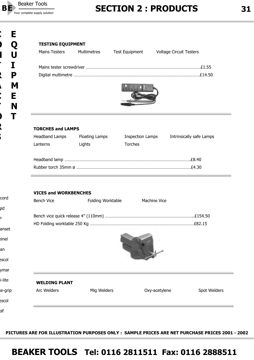![](_page_30_Picture_0.jpeg)

**TESTING EQUIPMENT**

## Your complete supply solution **31**

| <b>TORCHES and LAMPS</b>                          |                   |                         |                          |
|---------------------------------------------------|-------------------|-------------------------|--------------------------|
| <b>Headband Lamps</b>                             | Floating Lamps    | <b>Inspection Lamps</b> | Intrinsically safe Lamps |
| Lanterns                                          | Lights            | <b>Torches</b>          |                          |
|                                                   |                   |                         |                          |
|                                                   |                   |                         |                          |
| <b>VICES and WORKBENCHES</b><br><b>Bench Vice</b> | Folding Worktable | <b>Machine Vice</b>     |                          |
|                                                   |                   |                         |                          |
|                                                   |                   |                         |                          |
|                                                   |                   |                         |                          |

Mains Testers Multimetres Test Equipment Voltage Circuit Testers

#### **WELDING PLANT**

Arc Welders **Mig Welders Contract Contract Contract Contract Contract Contract Contract Contract Contract Contract Contract Contract Contract Contract Contract Contract Contract Contract Contract Contract Contract Contra** 

olf

escol

cord

**S**

gid

P

anset

einel

an

escol

ymar

ni-lite

se-grip

**PICTURES ARE FOR ILLUSTRATION PURPOSES ONLY : SAMPLE PRICES ARE NET PURCHASE PRICES 2001 - 2002**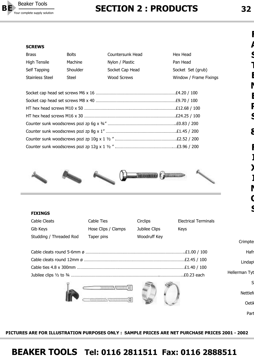![](_page_31_Picture_0.jpeg)

### Your complete supply solution **32**<br>Your complete supply solution **32**

#### **SCREWS**

| <b>Brass</b>        | <b>Bolts</b> | Countersunk Head | Hex Head               |
|---------------------|--------------|------------------|------------------------|
| <b>High Tensile</b> | Machine      | Nylon / Plastic  | Pan Head               |
| Self Tapping        | Shoulder     | Socket Cap Head  | Socket Set (grub)      |
| Stainless Steel     | Steel        | Wood Screws      | Window / Frame Fixings |

![](_page_31_Picture_5.jpeg)

![](_page_31_Picture_6.jpeg)

#### **FIXINGS**

| Cable Cleats            | Cable Ties          | Circlips      | <b>Electrical Terminals</b> |
|-------------------------|---------------------|---------------|-----------------------------|
| Gib Keys                | Hose Clips / Clamps | Jubilee Clips | <b>Kevs</b>                 |
| Studding / Threaded Rod | Taper pins          | Woodruff Key  |                             |

| Hafr          |
|---------------|
| Lindapt       |
|               |
| Hellerman Tyt |
|               |

![](_page_31_Picture_11.jpeg)

![](_page_31_Picture_12.jpeg)

S

Crimpte

Nettlefo

Oetik

Part

**PICTURES ARE FOR ILLUSTRATION PURPOSES ONLY : SAMPLE PRICES ARE NET PURCHASE PRICES 2001 - 2002**

### **BEAKER TOOLS Tel: 0116 2811511 Fax: 0116 2888511**

**F**

**A**

**S**

**T**

**E**

**N**

**E**

**R**

**S**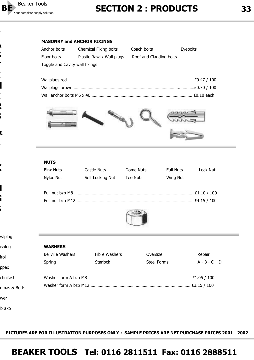![](_page_32_Picture_0.jpeg)

**F**

**A**

**S**

**T**

**E**

**N**

**E**

**R**

**S**

**&**

**F**

**X**

**N**

**G**

**S**

### Your complete supply solution **33**<br>Your complete supply solution **33**

| Anchor bolts                   | Chemical Fixing bolts     | Coach bolts             | Eyebolts |
|--------------------------------|---------------------------|-------------------------|----------|
| Floor bolts                    | Plastic Rawl / Wall plugs | Roof and Cladding bolts |          |
| Toggle and Cavity wall fixings |                           |                         |          |

![](_page_32_Picture_5.jpeg)

#### **NUTS**

| <b>Binx Nuts</b> | Castle Nuts      | Dome Nuts       | <b>Full Nuts</b> | Lock Nut     |
|------------------|------------------|-----------------|------------------|--------------|
| Nyloc Nut        | Self Locking Nut | <b>Tee Nuts</b> | Wing Nut         |              |
|                  |                  |                 |                  |              |
|                  |                  |                 |                  | £1.10 / 100  |
|                  |                  |                 |                  | .£4.15 / 100 |
|                  |                  |                 |                  |              |

![](_page_32_Picture_8.jpeg)

| wlplug       |                          |                      |                    |                 |  |
|--------------|--------------------------|----------------------|--------------------|-----------------|--|
| asplug       | <b>WASHERS</b>           |                      |                    |                 |  |
| irol         | <b>Bellville Washers</b> | <b>Fibre Washers</b> | Oversize           | Repair          |  |
|              | Spring                   | <b>Starlock</b>      | <b>Steel Forms</b> | $A - B - C - D$ |  |
| ppex         |                          |                      |                    |                 |  |
| chnifast     |                          |                      |                    | .£1.05 / 100    |  |
| omas & Betts |                          |                      |                    |                 |  |
| wer          |                          |                      |                    |                 |  |
| brako        |                          |                      |                    |                 |  |

**PICTURES ARE FOR ILLUSTRATION PURPOSES ONLY : SAMPLE PRICES ARE NET PURCHASE PRICES 2001 - 2002**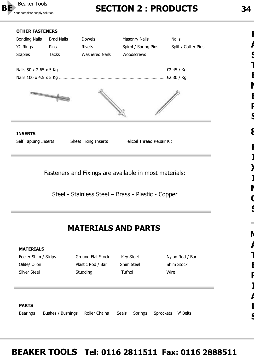![](_page_33_Picture_0.jpeg)

### Your complete supply solution **34**

#### **OTHER FASTENERS**

![](_page_33_Figure_3.jpeg)

Steel - Stainless Steel – Brass - Plastic - Copper

#### **MATERIALS AND PARTS**

| <b>MATERIALS</b>     |                   |                   |                         |                              |
|----------------------|-------------------|-------------------|-------------------------|------------------------------|
| Feeler Shim / Strips |                   | Ground Flat Stock | Key Steel               | Nylon Rod / Bar              |
| Oilite/ Oilon        |                   | Plastic Rod / Bar | Shim Steel              | Shim Stock                   |
| Silver Steel         |                   | Studding          | Tufnol                  | Wire                         |
|                      |                   |                   |                         |                              |
|                      |                   |                   |                         |                              |
|                      |                   |                   |                         |                              |
| <b>PARTS</b>         |                   |                   |                         |                              |
| <b>Bearings</b>      | Bushes / Bushings | Roller Chains     | Seals<br><b>Springs</b> | <b>Sprockets</b><br>V' Belts |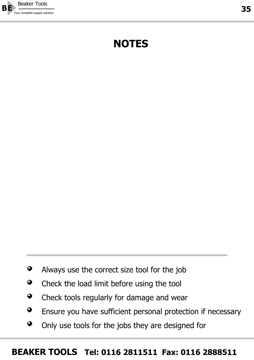![](_page_34_Picture_0.jpeg)

# **NOTES**

- $\bullet$ Always use the correct size tool for the job
- Check the load limit before using the tool  $\bullet$
- $\bullet$ Check tools regularly for damage and wear
- $\bullet$ Ensure you have sufficient personal protection if necessary
- $\bullet$ Only use tools for the jobs they are designed for